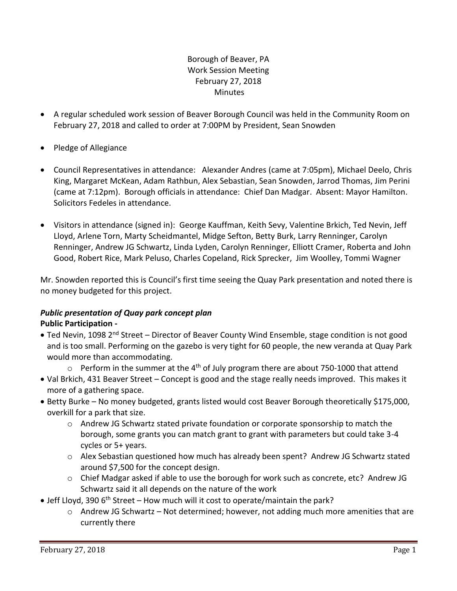# Borough of Beaver, PA Work Session Meeting February 27, 2018 **Minutes**

- A regular scheduled work session of Beaver Borough Council was held in the Community Room on February 27, 2018 and called to order at 7:00PM by President, Sean Snowden
- Pledge of Allegiance
- Council Representatives in attendance: Alexander Andres (came at 7:05pm), Michael Deelo, Chris King, Margaret McKean, Adam Rathbun, Alex Sebastian, Sean Snowden, Jarrod Thomas, Jim Perini (came at 7:12pm). Borough officials in attendance: Chief Dan Madgar. Absent: Mayor Hamilton. Solicitors Fedeles in attendance.
- Visitors in attendance (signed in): George Kauffman, Keith Sevy, Valentine Brkich, Ted Nevin, Jeff Lloyd, Arlene Torn, Marty Scheidmantel, Midge Sefton, Betty Burk, Larry Renninger, Carolyn Renninger, Andrew JG Schwartz, Linda Lyden, Carolyn Renninger, Elliott Cramer, Roberta and John Good, Robert Rice, Mark Peluso, Charles Copeland, Rick Sprecker, Jim Woolley, Tommi Wagner

Mr. Snowden reported this is Council's first time seeing the Quay Park presentation and noted there is no money budgeted for this project.

## *Public presentation of Quay park concept plan* **Public Participation -**

- Ted Nevin, 1098 2<sup>nd</sup> Street Director of Beaver County Wind Ensemble, stage condition is not good and is too small. Performing on the gazebo is very tight for 60 people, the new veranda at Quay Park would more than accommodating.
	- $\circ$  Perform in the summer at the 4<sup>th</sup> of July program there are about 750-1000 that attend
- Val Brkich, 431 Beaver Street Concept is good and the stage really needs improved. This makes it more of a gathering space.
- Betty Burke No money budgeted, grants listed would cost Beaver Borough theoretically \$175,000, overkill for a park that size.
	- $\circ$  Andrew JG Schwartz stated private foundation or corporate sponsorship to match the borough, some grants you can match grant to grant with parameters but could take 3-4 cycles or 5+ years.
	- o Alex Sebastian questioned how much has already been spent? Andrew JG Schwartz stated around \$7,500 for the concept design.
	- o Chief Madgar asked if able to use the borough for work such as concrete, etc? Andrew JG Schwartz said it all depends on the nature of the work
- Jeff Lloyd, 390  $6<sup>th</sup>$  Street How much will it cost to operate/maintain the park?
	- o Andrew JG Schwartz Not determined; however, not adding much more amenities that are currently there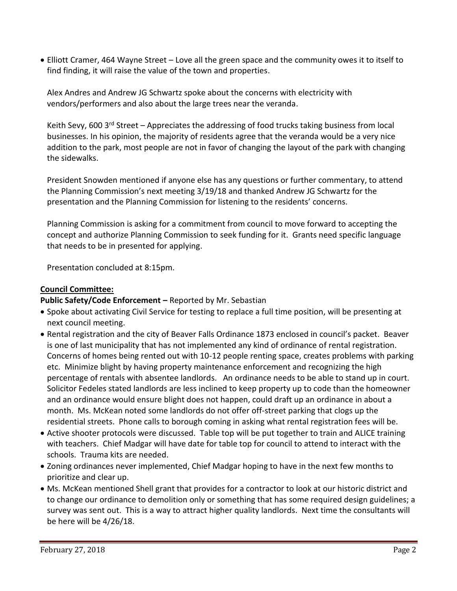Elliott Cramer, 464 Wayne Street – Love all the green space and the community owes it to itself to find finding, it will raise the value of the town and properties.

Alex Andres and Andrew JG Schwartz spoke about the concerns with electricity with vendors/performers and also about the large trees near the veranda.

Keith Sevy, 600 3<sup>rd</sup> Street – Appreciates the addressing of food trucks taking business from local businesses. In his opinion, the majority of residents agree that the veranda would be a very nice addition to the park, most people are not in favor of changing the layout of the park with changing the sidewalks.

President Snowden mentioned if anyone else has any questions or further commentary, to attend the Planning Commission's next meeting 3/19/18 and thanked Andrew JG Schwartz for the presentation and the Planning Commission for listening to the residents' concerns.

Planning Commission is asking for a commitment from council to move forward to accepting the concept and authorize Planning Commission to seek funding for it. Grants need specific language that needs to be in presented for applying.

Presentation concluded at 8:15pm.

#### **Council Committee:**

**Public Safety/Code Enforcement –** Reported by Mr. Sebastian

- Spoke about activating Civil Service for testing to replace a full time position, will be presenting at next council meeting.
- Rental registration and the city of Beaver Falls Ordinance 1873 enclosed in council's packet. Beaver is one of last municipality that has not implemented any kind of ordinance of rental registration. Concerns of homes being rented out with 10-12 people renting space, creates problems with parking etc. Minimize blight by having property maintenance enforcement and recognizing the high percentage of rentals with absentee landlords. An ordinance needs to be able to stand up in court. Solicitor Fedeles stated landlords are less inclined to keep property up to code than the homeowner and an ordinance would ensure blight does not happen, could draft up an ordinance in about a month. Ms. McKean noted some landlords do not offer off-street parking that clogs up the residential streets. Phone calls to borough coming in asking what rental registration fees will be.
- Active shooter protocols were discussed. Table top will be put together to train and ALICE training with teachers. Chief Madgar will have date for table top for council to attend to interact with the schools. Trauma kits are needed.
- Zoning ordinances never implemented, Chief Madgar hoping to have in the next few months to prioritize and clear up.
- Ms. McKean mentioned Shell grant that provides for a contractor to look at our historic district and to change our ordinance to demolition only or something that has some required design guidelines; a survey was sent out. This is a way to attract higher quality landlords. Next time the consultants will be here will be 4/26/18.